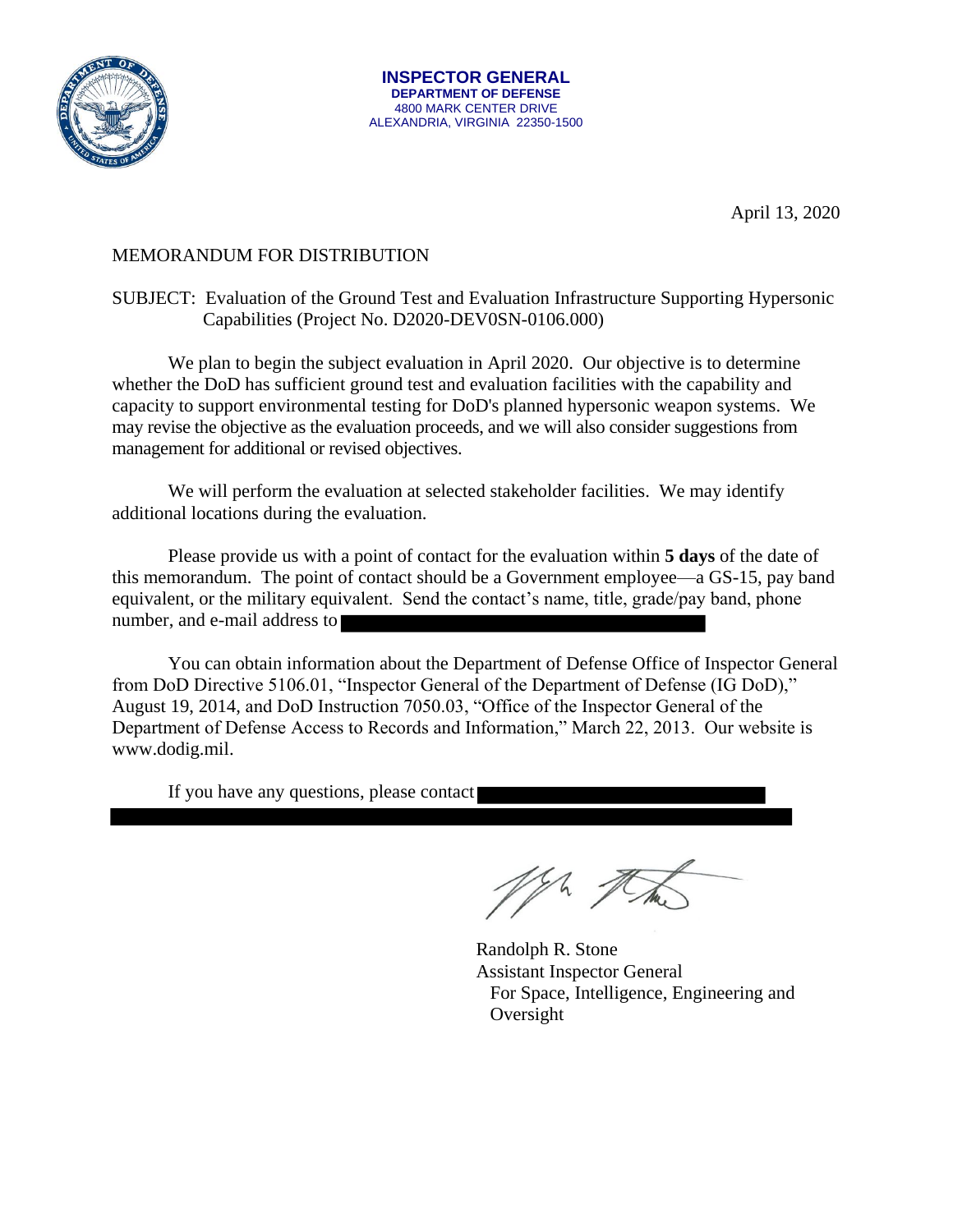

April 13, 2020

## MEMORANDUM FOR DISTRIBUTION

## SUBJECT: Evaluation of the Ground Test and Evaluation Infrastructure Supporting Hypersonic Capabilities (Project No. D2020-DEV0SN-0106.000)

We plan to begin the subject evaluation in April 2020. Our objective is to determine whether the DoD has sufficient ground test and evaluation facilities with the capability and capacity to support environmental testing for DoD's planned hypersonic weapon systems. We may revise the objective as the evaluation proceeds, and we will also consider suggestions from management for additional or revised objectives.

We will perform the evaluation at selected stakeholder facilities. We may identify additional locations during the evaluation.

Please provide us with a point of contact for the evaluation within **5 days** of the date of this memorandum. The point of contact should be a Government employee—a GS-15, pay band equivalent, or the military equivalent. Send the contact's name, title, grade/pay band, phone number, and e-mail address to

You can obtain information about the Department of Defense Office of Inspector General from DoD Directive 5106.01, "Inspector General of the Department of Defense (IG DoD)," August 19, 2014, and DoD Instruction 7050.03, "Office of the Inspector General of the Department of Defense Access to Records and Information," March 22, 2013. Our website is www.dodig.mil.

If you have any questions, please contact

Ma.

Randolph R. Stone Assistant Inspector General For Space, Intelligence, Engineering and Oversight